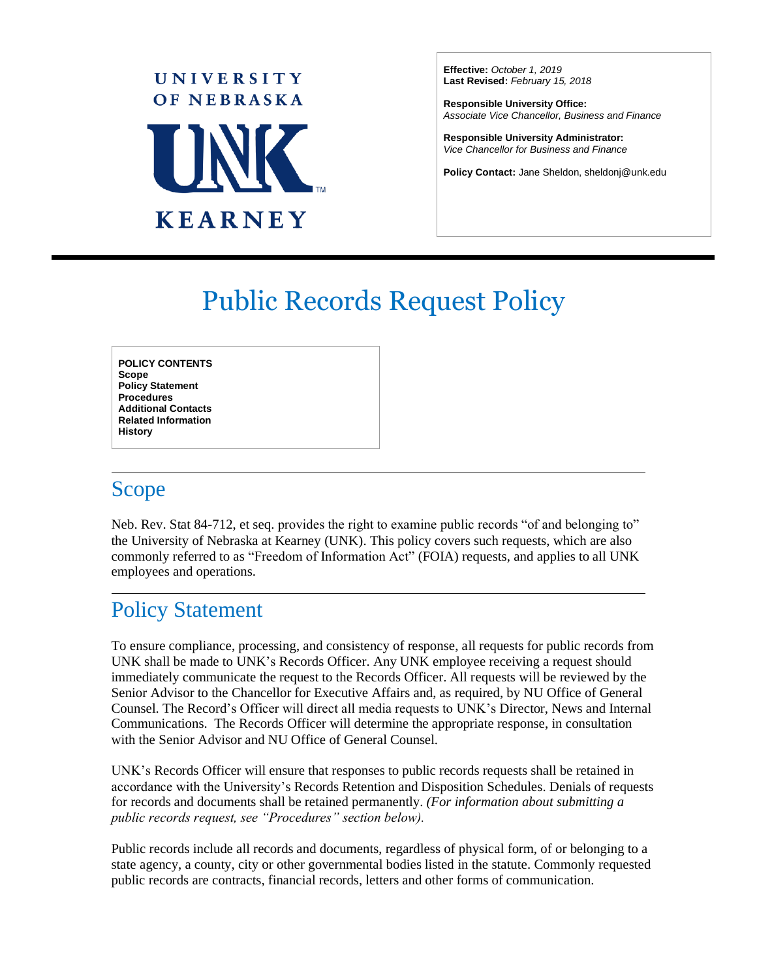

**Effective:** *October 1, 2019* **Last Revised:** *February 15, 2018*

**Responsible University Office:** *Associate Vice Chancellor, Business and Finance*

**Responsible University Administrator:** *Vice Chancellor for Business and Finance*

**Policy Contact:** Jane Sheldon, sheldonj@unk.edu

 $\overline{a}$ 

# Public Records Request Policy

**POLICY CONTENTS Scope Policy Statement Procedures Additional Contacts Related Information History**

### Scope

Neb. Rev. Stat 84-712, et seq. provides the right to examine public records "of and belonging to" the University of Nebraska at Kearney (UNK). This policy covers such requests, which are also commonly referred to as "Freedom of Information Act" (FOIA) requests, and applies to all UNK employees and operations.

# Policy Statement

To ensure compliance, processing, and consistency of response, all requests for public records from UNK shall be made to UNK's Records Officer. Any UNK employee receiving a request should immediately communicate the request to the Records Officer. All requests will be reviewed by the Senior Advisor to the Chancellor for Executive Affairs and, as required, by NU Office of General Counsel. The Record's Officer will direct all media requests to UNK's Director, News and Internal Communications. The Records Officer will determine the appropriate response, in consultation with the Senior Advisor and NU Office of General Counsel.

UNK's Records Officer will ensure that responses to public records requests shall be retained in accordance with the University's Records Retention and Disposition Schedules. Denials of requests for records and documents shall be retained permanently. *(For information about submitting a public records request, see "Procedures" section below).* 

Public records include all records and documents, regardless of physical form, of or belonging to a state agency, a county, city or other governmental bodies listed in the statute. Commonly requested public records are contracts, financial records, letters and other forms of communication.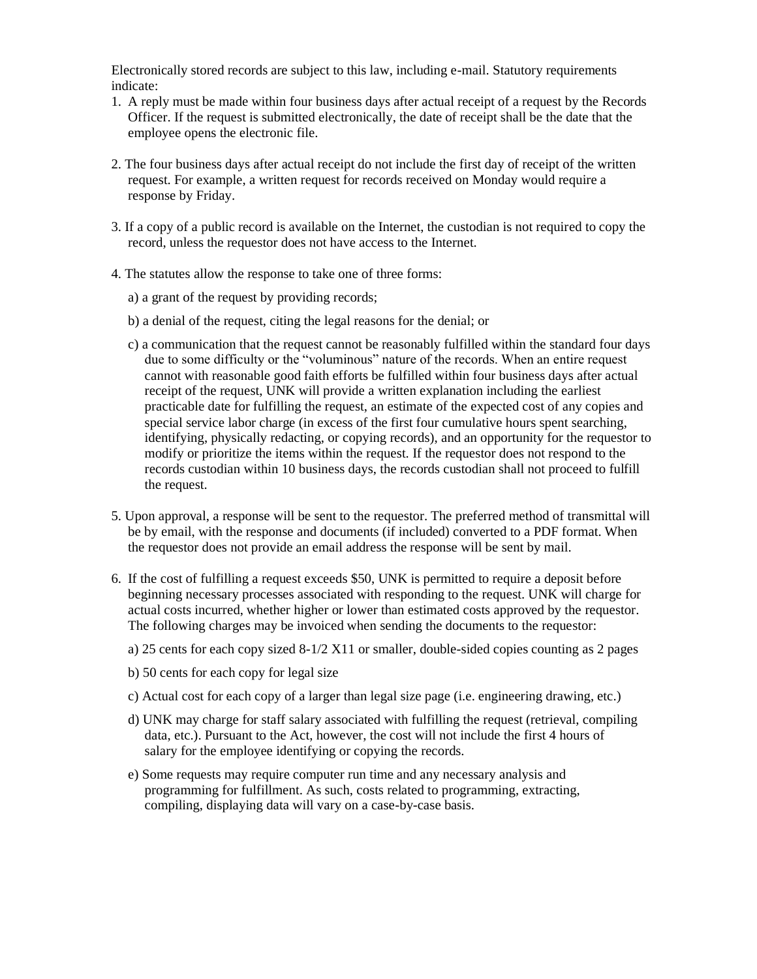Electronically stored records are subject to this law, including e-mail. Statutory requirements indicate:

- 1. A reply must be made within four business days after actual receipt of a request by the Records Officer. If the request is submitted electronically, the date of receipt shall be the date that the employee opens the electronic file.
- 2. The four business days after actual receipt do not include the first day of receipt of the written request. For example, a written request for records received on Monday would require a response by Friday.
- 3. If a copy of a public record is available on the Internet, the custodian is not required to copy the record, unless the requestor does not have access to the Internet.
- 4. The statutes allow the response to take one of three forms:
	- a) a grant of the request by providing records;
	- b) a denial of the request, citing the legal reasons for the denial; or
	- c) a communication that the request cannot be reasonably fulfilled within the standard four days due to some difficulty or the "voluminous" nature of the records. When an entire request cannot with reasonable good faith efforts be fulfilled within four business days after actual receipt of the request, UNK will provide a written explanation including the earliest practicable date for fulfilling the request, an estimate of the expected cost of any copies and special service labor charge (in excess of the first four cumulative hours spent searching, identifying, physically redacting, or copying records), and an opportunity for the requestor to modify or prioritize the items within the request. If the requestor does not respond to the records custodian within 10 business days, the records custodian shall not proceed to fulfill the request.
- 5. Upon approval, a response will be sent to the requestor. The preferred method of transmittal will be by email, with the response and documents (if included) converted to a PDF format. When the requestor does not provide an email address the response will be sent by mail.
- 6. If the cost of fulfilling a request exceeds \$50, UNK is permitted to require a deposit before beginning necessary processes associated with responding to the request. UNK will charge for actual costs incurred, whether higher or lower than estimated costs approved by the requestor. The following charges may be invoiced when sending the documents to the requestor:
	- a) 25 cents for each copy sized  $8-1/2$  X11 or smaller, double-sided copies counting as 2 pages
	- b) 50 cents for each copy for legal size
	- c) Actual cost for each copy of a larger than legal size page (i.e. engineering drawing, etc.)
	- d) UNK may charge for staff salary associated with fulfilling the request (retrieval, compiling data, etc.). Pursuant to the Act, however, the cost will not include the first 4 hours of salary for the employee identifying or copying the records.
	- e) Some requests may require computer run time and any necessary analysis and programming for fulfillment. As such, costs related to programming, extracting, compiling, displaying data will vary on a case-by-case basis.